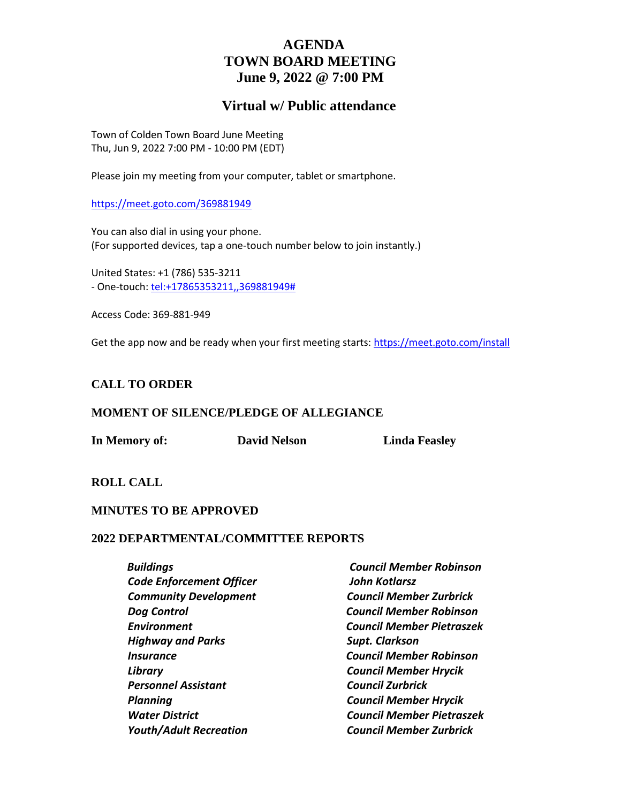# **AGENDA TOWN BOARD MEETING June 9, 2022 @ 7:00 PM**

## **Virtual w/ Public attendance**

Town of Colden Town Board June Meeting Thu, Jun 9, 2022 7:00 PM - 10:00 PM (EDT)

Please join my meeting from your computer, tablet or smartphone.

<https://meet.goto.com/369881949>

You can also dial in using your phone. (For supported devices, tap a one-touch number below to join instantly.)

United States: +1 (786) 535-3211 - One-touch: [tel:+17865353211,,369881949#](tel:+17865353211,,369881949)

Access Code: 369-881-949

Get the app now and be ready when your first meeting starts[: https://meet.goto.com/install](https://meet.goto.com/install)

#### **CALL TO ORDER**

#### **MOMENT OF SILENCE/PLEDGE OF ALLEGIANCE**

**In Memory of: David Nelson Linda Feasley**

**ROLL CALL**

#### **MINUTES TO BE APPROVED**

#### **2022 DEPARTMENTAL/COMMITTEE REPORTS**

| <b>Council Member Robinson</b>   |
|----------------------------------|
| <b>John Kotlarsz</b>             |
| <b>Council Member Zurbrick</b>   |
| <b>Council Member Robinson</b>   |
| Council Member Pietraszek        |
| <b>Supt. Clarkson</b>            |
| <b>Council Member Robinson</b>   |
| <b>Council Member Hrycik</b>     |
| <b>Council Zurbrick</b>          |
| <b>Council Member Hrycik</b>     |
| <b>Council Member Pietraszek</b> |
| <b>Council Member Zurbrick</b>   |
|                                  |